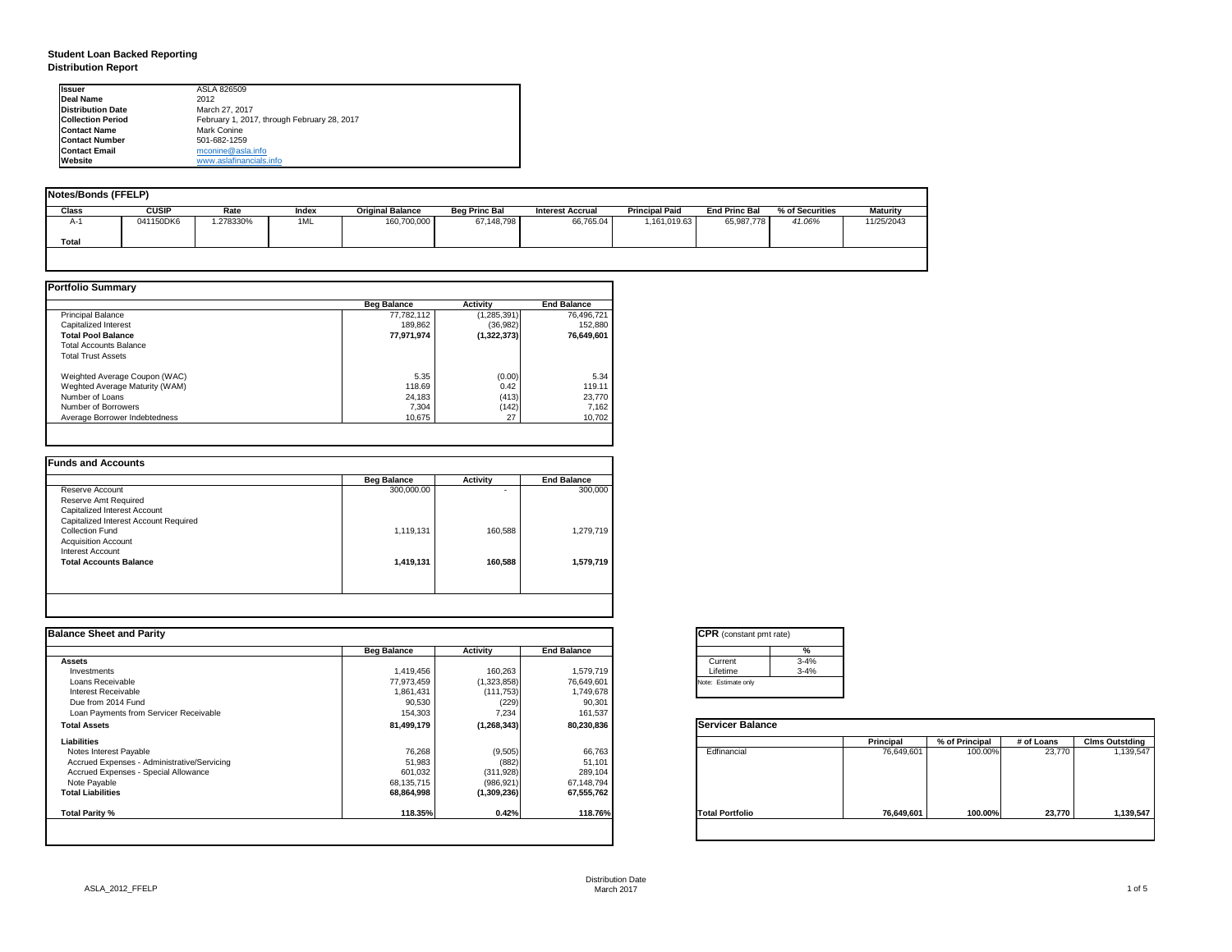| tant pmt rate) |          |
|----------------|----------|
|                | %        |
|                | $3 - 4%$ |
|                | $3 - 4%$ |
| only           |          |

|      | <b>Principal</b> | % of Principal | # of Loans | <b>Clms Outstding</b> |  |  |
|------|------------------|----------------|------------|-----------------------|--|--|
| al   | 76,649,601       | 100.00%        | 23,770     | 1,139,547             |  |  |
| olio | 76,649,601       | 100.00%        | 23,770     | 1,139,547             |  |  |

# **Student Loan Backed Reporting Distribution Report**

| <b>Notes/Bonds (FFELP)</b> |              |          |       |                         |                      |                         |                       |                      |                 |                 |
|----------------------------|--------------|----------|-------|-------------------------|----------------------|-------------------------|-----------------------|----------------------|-----------------|-----------------|
| <b>Class</b>               | <b>CUSIP</b> | Rate     | Index | <b>Original Balance</b> | <b>Beg Princ Bal</b> | <b>Interest Accrual</b> | <b>Principal Paid</b> | <b>End Princ Bal</b> | % of Securities | <b>Maturity</b> |
| A-1                        | 041150DK6    | .278330% | 1ML   | 160,700,000             | 67,148,798           | 66,765.04               | 1,161,019.63          | 65,987,778           | 41.06%          | 11/25/2043      |
| <b>Total</b>               |              |          |       |                         |                      |                         |                       |                      |                 |                 |
|                            |              |          |       |                         |                      |                         |                       |                      |                 |                 |

|                                | <b>Beg Balance</b> | <b>Activity</b> | <b>End Balance</b> |
|--------------------------------|--------------------|-----------------|--------------------|
| <b>Principal Balance</b>       | 77,782,112         | (1,285,391)     | 76,496,721         |
| Capitalized Interest           | 189,862            | (36, 982)       | 152,880            |
| <b>Total Pool Balance</b>      | 77,971,974         | (1,322,373)     | 76,649,601         |
| <b>Total Accounts Balance</b>  |                    |                 |                    |
| <b>Total Trust Assets</b>      |                    |                 |                    |
| Weighted Average Coupon (WAC)  | 5.35               | (0.00)          | 5.34               |
| Weghted Average Maturity (WAM) | 118.69             | 0.42            | 119.11             |
| Number of Loans                | 24,183             | (413)           | 23,770             |
| Number of Borrowers            | 7,304              | (142)           | 7,162              |
| Average Borrower Indebtedness  | 10,675             | 27              | 10,702             |

|                                       | <b>Beg Balance</b> | <b>Activity</b> | <b>End Balance</b> |
|---------------------------------------|--------------------|-----------------|--------------------|
| Reserve Account                       | 300,000.00         | -               | 300,000            |
| <b>Reserve Amt Required</b>           |                    |                 |                    |
| Capitalized Interest Account          |                    |                 |                    |
| Capitalized Interest Account Required |                    |                 |                    |
| <b>Collection Fund</b>                | 1,119,131          | 160,588         | 1,279,719          |
| <b>Acquisition Account</b>            |                    |                 |                    |
| Interest Account                      |                    |                 |                    |
| <b>Total Accounts Balance</b>         | 1,419,131          | 160,588         | 1,579,719          |
|                                       |                    |                 |                    |

| <b>Ilssuer</b>           | ASLA 826509                                 |
|--------------------------|---------------------------------------------|
| Deal Name                | 2012                                        |
| <b>Distribution Date</b> | March 27, 2017                              |
| <b>Collection Period</b> | February 1, 2017, through February 28, 2017 |
| <b>IContact Name</b>     | Mark Conine                                 |
| <b>Contact Number</b>    | 501-682-1259                                |
| <b>Contact Email</b>     | mconine@asla.info                           |
| <b>IWebsite</b>          | www.aslafinancials.info                     |

|                    |                 |                            | <b>CPR</b> (constant pmt rate) |                  |                |            |                       |
|--------------------|-----------------|----------------------------|--------------------------------|------------------|----------------|------------|-----------------------|
| <b>Beg Balance</b> | <b>Activity</b> | <b>End Balance</b>         | %                              |                  |                |            |                       |
|                    |                 |                            | $3 - 4%$<br>Current            |                  |                |            |                       |
| 1,419,456          | 160,263         | 1,579,719                  | Lifetime                       |                  |                |            |                       |
| 77,973,459         | (1,323,858)     | 76,649,601                 | Note: Estimate only            |                  |                |            |                       |
| 1,861,431          | (111, 753)      | 1,749,678                  |                                |                  |                |            |                       |
| 90,530             |                 | 90,30                      |                                |                  |                |            |                       |
| 154,303            | 7,234           | 161,537                    |                                |                  |                |            |                       |
| 81,499,179         | (1, 268, 343)   | 80,230,836                 | <b>Servicer Balance</b>        |                  |                |            |                       |
|                    |                 |                            |                                | <b>Principal</b> | % of Principal | # of Loans | <b>Clms Outstding</b> |
| 76,268             |                 | 66,763                     | Edfinancial                    | 76,649,601       | 100.00%        | 23,770     | 1,139,547             |
| 51,983             |                 | 51,101                     |                                |                  |                |            |                       |
| 601,032            | (311, 928)      | 289,104                    |                                |                  |                |            |                       |
| 68,135,715         | (986, 921)      | 67,148,794                 |                                |                  |                |            |                       |
| 68,864,998         | (1,309,236)     | 67,555,762                 |                                |                  |                |            |                       |
| 118.35%            | 0.42%           | 118.76%                    | <b>Total Portfolio</b>         | 76,649,601       | 100.00%        |            | 1,139,547             |
|                    |                 | (229)<br>(9, 505)<br>(882) |                                | $3 - 4%$         |                |            | 23,770                |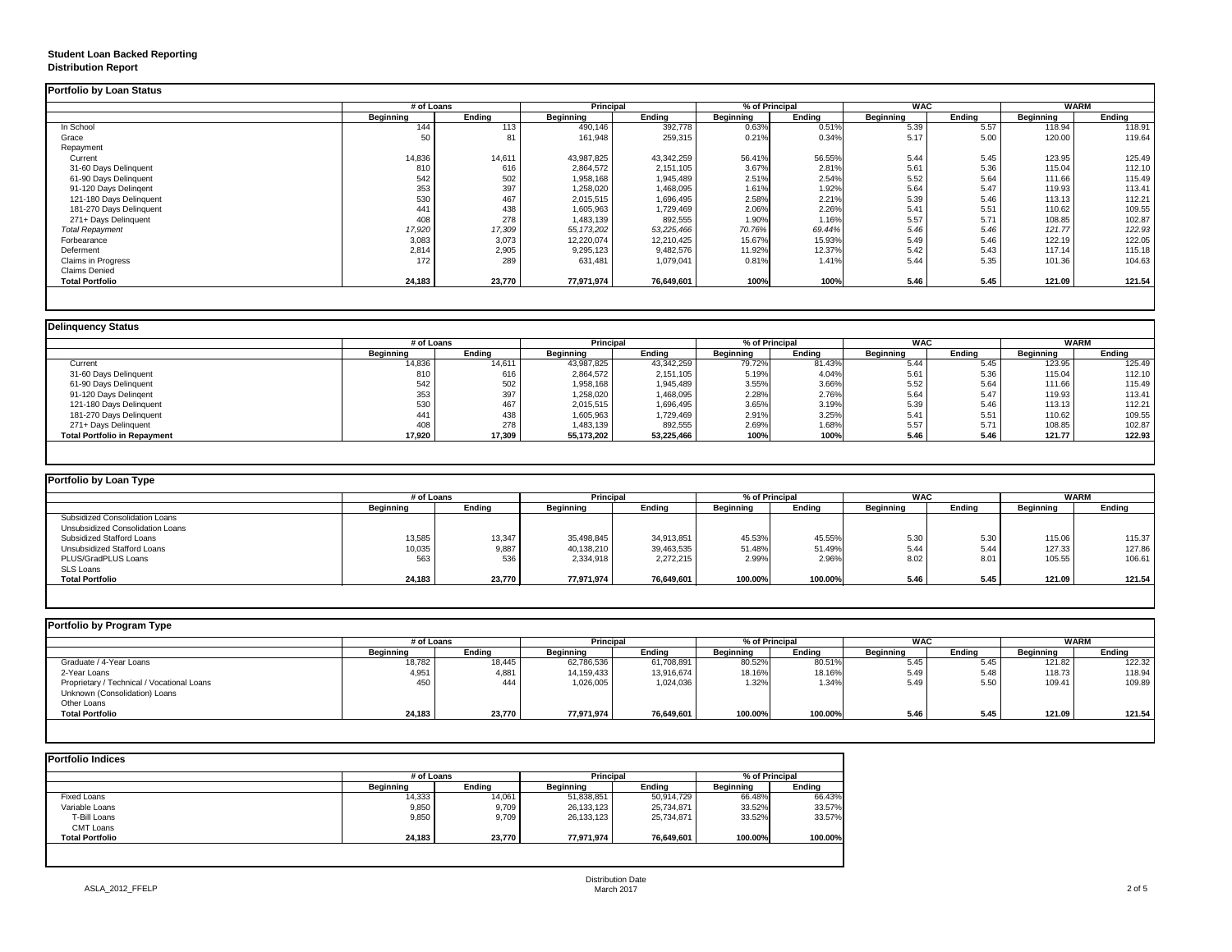## **Student Loan Backed Reporting Distribution Report**

## **Delinquency Status**

|                           | # of Loans       |               | <b>Principal</b> |               | % of Principal   |               | <b>WAC</b>       |               | <b>WARM</b>      |               |
|---------------------------|------------------|---------------|------------------|---------------|------------------|---------------|------------------|---------------|------------------|---------------|
|                           | <b>Beginning</b> | <b>Ending</b> | <b>Beginning</b> | <b>Ending</b> | <b>Beginning</b> | <b>Ending</b> | <b>Beginning</b> | <b>Ending</b> | <b>Beginning</b> | <b>Ending</b> |
| In School                 | 144              | 113           | 490,146          | 392,778       | 0.63%            | 0.51%         | 5.39             | 5.57          | 118.94           | 118.91        |
| Grace                     | 50               | 81            | 161,948          | 259,315       | 0.21%            | 0.34%         | 5.17             | 5.00          | 120.00           | 119.64        |
| Repayment                 |                  |               |                  |               |                  |               |                  |               |                  |               |
| Current                   | 14,836           | 14,611        | 43,987,825       | 43,342,259    | 56.41%           | 56.55%        | 5.44             | 5.45          | 123.95           | 125.49        |
| 31-60 Days Delinquent     | 810              | 616           | 2,864,572        | 2,151,105     | 3.67%            | 2.81%         | 5.61             | 5.36          | 115.04           | 112.10        |
| 61-90 Days Delinquent     | 542              | 502           | 1,958,168        | 1,945,489     | 2.51%            | 2.54%         | 5.52             | 5.64          | 111.66           | 115.49        |
| 91-120 Days Delingent     | 353              | 397           | 1,258,020        | 1,468,095     | 1.61%            | 1.92%         | 5.64             | 5.47          | 119.93           | 113.41        |
| 121-180 Days Delinquent   | 530              | 467           | 2,015,515        | 1,696,495     | 2.58%            | 2.21%         | 5.39             | 5.46          | 113.13           | 112.21        |
| 181-270 Days Delinquent   | 441              | 438           | 1,605,963        | 1,729,469     | 2.06%            | 2.26%         | 5.41             | 5.51          | 110.62           | 109.55        |
| 271+ Days Delinquent      | 408              | 278           | 1,483,139        | 892,555       | 1.90%            | 1.16%         | 5.57             | 5.71          | 108.85           | 102.87        |
| <b>Total Repayment</b>    | 17,920           | 17,309        | 55, 173, 202     | 53,225,466    | 70.76%           | 69.44%        | 5.46             | 5.46          | 121.77           | 122.93        |
| Forbearance               | 3,083            | 3,073         | 12,220,074       | 12,210,425    | 15.67%           | 15.93%        | 5.49             | 5.46          | 122.19           | 122.05        |
| Deferment                 | 2,814            | 2,905         | 9,295,123        | 9,482,576     | 11.92%           | 12.37%        | 5.42             | 5.43          | 117.14           | 115.18        |
| <b>Claims in Progress</b> | 172              | 289           | 631,481          | 1,079,041     | 0.81%            | 1.41%         | 5.44             | 5.35          | 101.36           | 104.63        |
| <b>Claims Denied</b>      |                  |               |                  |               |                  |               |                  |               |                  |               |
| <b>Total Portfolio</b>    | 24,183           | 23,770        | 77,971,974       | 76,649,601    | 100%             | 100%          | 5.46             | 5.45          | 121.09           | 121.54        |

|                                     | # of Loans       |               | <b>Principal</b> |               | % of Principal   |               | <b>WAC</b>       |        | <b>WARM</b>      |               |
|-------------------------------------|------------------|---------------|------------------|---------------|------------------|---------------|------------------|--------|------------------|---------------|
|                                     | <b>Beginning</b> | <b>Ending</b> | <b>Beginning</b> | <b>Ending</b> | <b>Beginning</b> | <b>Ending</b> | <b>Beginning</b> | Ending | <b>Beginning</b> | <b>Ending</b> |
| Current                             | 14,836           | 14,611        | 43,987,825       | 43,342,259    | 79.72%           | 81.43%        | 5.44             | 5.45   | 123.95           | 125.49        |
| 31-60 Days Delinquent               | 810              | 616           | 2,864,572        | 2,151,105     | 5.19%            | 4.04%         | 5.61             | 5.36   | 115.04           | 112.10        |
| 61-90 Days Delinquent               | 542              | 502           | 1,958,168        | 1,945,489     | 3.55%            | 3.66%         | 5.52             | 5.64   | 111.66           | 115.49        |
| 91-120 Days Delingent               | 353              | 397           | 1,258,020        | 1,468,095     | 2.28%            | 2.76%         | 5.64             | 5.47   | 119.93           | 113.41        |
| 121-180 Days Delinquent             | 530              | 467           | 2,015,515        | 1,696,495     | 3.65%            | 3.19%         | 5.39             | 5.46   | 113.13           | 112.21        |
| 181-270 Days Delinquent             | 441              | 438           | 1,605,963        | 1,729,469     | 2.91%            | 3.25%         | 5.41             | 5.51   | 110.62           | 109.55        |
| 271+ Days Delinquent                | 408              | 278           | 1,483,139        | 892,555       | 2.69%            | 1.68%         | 5.57             | 5.71   | 108.85           | 102.87        |
| <b>Total Portfolio in Repayment</b> | 17,920           | 17,309        | 55,173,202       | 53,225,466    | 100%             | 100%          | 5.46             | 5.46   | 121.77           | 122.93        |

| <b>Portfolio by Loan Type</b>           |                  |               |                  |               |                  |               |                  |        |                  |               |
|-----------------------------------------|------------------|---------------|------------------|---------------|------------------|---------------|------------------|--------|------------------|---------------|
|                                         | # of Loans       |               | <b>Principal</b> |               | % of Principal   |               | <b>WAC</b>       |        | <b>WARM</b>      |               |
|                                         | <b>Beginning</b> | <b>Ending</b> | <b>Beginning</b> | <b>Ending</b> | <b>Beginning</b> | <b>Ending</b> | <b>Beginning</b> | Ending | <b>Beginning</b> | <b>Ending</b> |
| <b>Subsidized Consolidation Loans</b>   |                  |               |                  |               |                  |               |                  |        |                  |               |
| <b>Unsubsidized Consolidation Loans</b> |                  |               |                  |               |                  |               |                  |        |                  |               |
| <b>Subsidized Stafford Loans</b>        | 13,585           | 13,347        | 35,498,845       | 34,913,851    | 45.53%           | 45.55%        | 5.30             | 5.30   | 115.06           | 115.37        |
| <b>Unsubsidized Stafford Loans</b>      | 10,035           | 9,887         | 40,138,210       | 39,463,535    | 51.48%           | 51.49%        | 5.44             | 5.44   | 127.33           | 127.86        |
| PLUS/GradPLUS Loans                     | 563              | 536           | 2,334,918        | 2,272,215     | 2.99%            | 2.96%         | 8.02             | 8.01   | 105.55           | 106.61        |
| <b>SLS Loans</b>                        |                  |               |                  |               |                  |               |                  |        |                  |               |
| <b>Total Portfolio</b>                  | 24,183           | 23,770        | 77,971,974       | 76,649,601    | 100.00%          | 100.00%       | 5.46             | 5.45   | 121.09           | 121.54        |

| Portfolio by Program Type                  |                  | # of Loans    |                                      |               | % of Principal   |               | <b>WAC</b>       |               | <b>WARM</b>      |               |
|--------------------------------------------|------------------|---------------|--------------------------------------|---------------|------------------|---------------|------------------|---------------|------------------|---------------|
|                                            | <b>Beginning</b> | <b>Ending</b> | <b>Principal</b><br><b>Beginning</b> | <b>Ending</b> | <b>Beginning</b> | <b>Ending</b> | <b>Beginning</b> | <b>Ending</b> | <b>Beginning</b> | <b>Ending</b> |
| Graduate / 4-Year Loans                    | 18,782           | 18,445        | 62,786,536                           | 61,708,891    | 80.52%           | 80.51%        | 5.45             | 5.45          | 121.82           | 122.32        |
| 2-Year Loans                               | 4,951            | 4,881         | 14,159,433                           | 13,916,674    | 18.16%           | 18.16%        | 5.49             | 5.48          | 118.73           | 118.94        |
| Proprietary / Technical / Vocational Loans | 450              | 444           | 1,026,005                            | 1,024,036     | 1.32%            | 1.34%         | 5.49             | 5.50          | 109.41           | 109.89        |
| Unknown (Consolidation) Loans              |                  |               |                                      |               |                  |               |                  |               |                  |               |
| Other Loans                                |                  |               |                                      |               |                  |               |                  |               |                  |               |
| <b>Total Portfolio</b>                     | 24,183           | 23,770        | 77,971,974                           | 76,649,601    | 100.00%          | 100.00%       | 5.46             | 5.45          | 121.09           | 121.54        |

|                        | # of Loans       | <b>Principal</b> |                  | % of Principal |                  |               |
|------------------------|------------------|------------------|------------------|----------------|------------------|---------------|
|                        | <b>Beginning</b> | <b>Ending</b>    | <b>Beginning</b> | <b>Ending</b>  | <b>Beginning</b> | <b>Ending</b> |
| <b>Fixed Loans</b>     | 14,333           | 14,061           | 51,838,851       | 50,914,729     | 66.48%           | 66.43%        |
| Variable Loans         | 9,850            | 9,709            | 26,133,123       | 25,734,871     | 33.52%           | 33.57%        |
| T-Bill Loans           | 9,850            | 9,709            | 26,133,123       | 25,734,871     | 33.52%           | 33.57%        |
| <b>CMT Loans</b>       |                  |                  |                  |                |                  |               |
| <b>Total Portfolio</b> | 24,183           | 23,770           | 77,971,974       | 76,649,601     | 100.00%          | 100.00%       |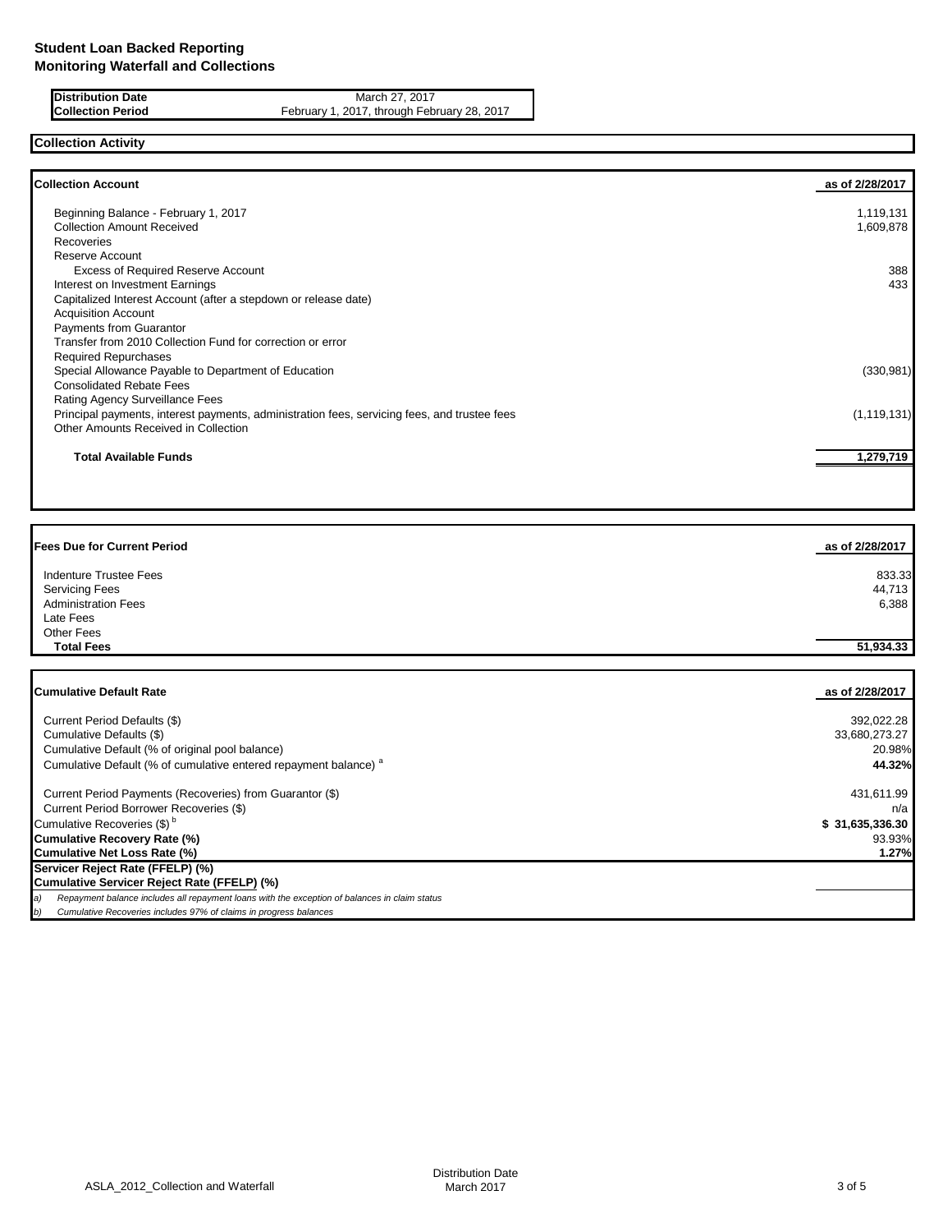**Distribution Date** March 27, 2017<br>**Collection Period** February 1, 2017, through February 1, 2017, through February 1, 2017, through February 1, 2017 February 1, 2017, through February 28, 2017

# **Collection Activity**

| <b>Collection Account</b>                                                                    | as of 2/28/2017 |
|----------------------------------------------------------------------------------------------|-----------------|
| Beginning Balance - February 1, 2017                                                         | 1,119,131       |
| <b>Collection Amount Received</b>                                                            | 1,609,878       |
| <b>Recoveries</b>                                                                            |                 |
| Reserve Account                                                                              |                 |
| <b>Excess of Required Reserve Account</b>                                                    | 388             |
| Interest on Investment Earnings                                                              | 433             |
| Capitalized Interest Account (after a stepdown or release date)                              |                 |
| <b>Acquisition Account</b>                                                                   |                 |
| Payments from Guarantor                                                                      |                 |
| Transfer from 2010 Collection Fund for correction or error                                   |                 |
| <b>Required Repurchases</b>                                                                  |                 |
| Special Allowance Payable to Department of Education                                         | (330, 981)      |
| <b>Consolidated Rebate Fees</b>                                                              |                 |
| Rating Agency Surveillance Fees                                                              |                 |
| Principal payments, interest payments, administration fees, servicing fees, and trustee fees | (1, 119, 131)   |
| Other Amounts Received in Collection                                                         |                 |
| <b>Total Available Funds</b>                                                                 | 1,279,719       |
|                                                                                              |                 |

| <b>Fees Due for Current Period</b> | as of 2/28/2017 |
|------------------------------------|-----------------|
| Indenture Trustee Fees             | 833.33          |
| <b>Servicing Fees</b>              | 44,713          |
| <b>Administration Fees</b>         | 6,388           |
| Late Fees                          |                 |
| Other Fees                         |                 |
| <b>Total Fees</b>                  | 51,934.33       |
| <b>Cumulative Default Rate</b>     | as of 2/28/2017 |
| Current Period Defaults (\$)       | 392,022.28      |

| Current Period Defaults (5)                                                                         | 392,022.28      |
|-----------------------------------------------------------------------------------------------------|-----------------|
| Cumulative Defaults (\$)                                                                            | 33,680,273.27   |
| Cumulative Default (% of original pool balance)                                                     | 20.98%          |
| Cumulative Default (% of cumulative entered repayment balance) <sup>a</sup>                         | 44.32%          |
| Current Period Payments (Recoveries) from Guarantor (\$)                                            | 431,611.99      |
| Current Period Borrower Recoveries (\$)                                                             | n/a             |
| Cumulative Recoveries (\$) <sup>b</sup>                                                             | \$31,635,336.30 |
| <b>Cumulative Recovery Rate (%)</b>                                                                 | 93.93%          |
| <b>Cumulative Net Loss Rate (%)</b>                                                                 | 1.27%           |
| Servicer Reject Rate (FFELP) (%)                                                                    |                 |
| Cumulative Servicer Reject Rate (FFELP) (%)                                                         |                 |
| Repayment balance includes all repayment loans with the exception of balances in claim status<br>a) |                 |
| Cumulative Recoveries includes 97% of claims in progress balances<br>b)                             |                 |
|                                                                                                     |                 |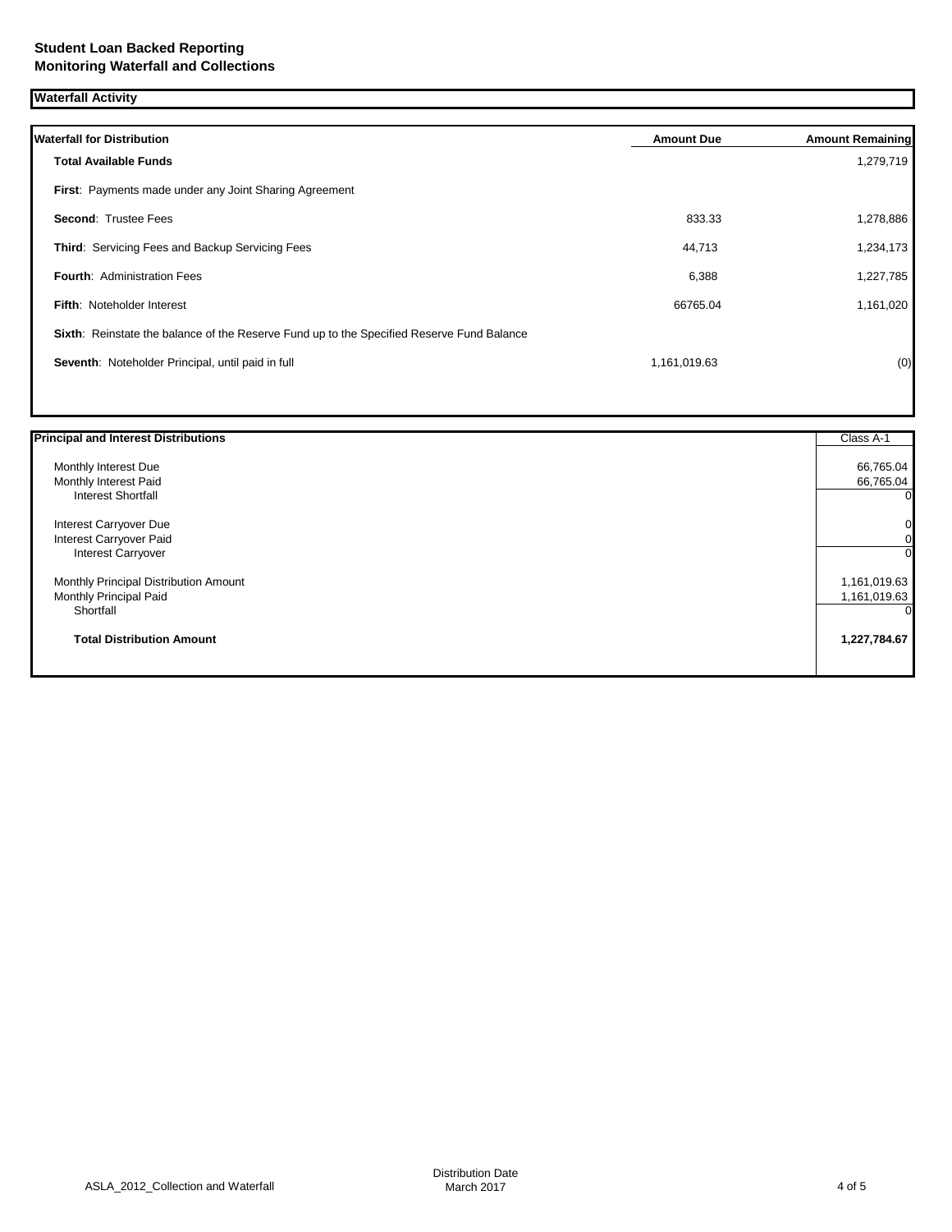**Waterfall Activity**

| <b>Waterfall for Distribution</b>                                                         | <b>Amount Due</b> | <b>Amount Remaining</b> |
|-------------------------------------------------------------------------------------------|-------------------|-------------------------|
| <b>Total Available Funds</b>                                                              |                   | 1,279,719               |
| First: Payments made under any Joint Sharing Agreement                                    |                   |                         |
| <b>Second: Trustee Fees</b>                                                               | 833.33            | 1,278,886               |
| Third: Servicing Fees and Backup Servicing Fees                                           | 44,713            | 1,234,173               |
| <b>Fourth: Administration Fees</b>                                                        | 6,388             | 1,227,785               |
| <b>Fifth: Noteholder Interest</b>                                                         | 66765.04          | 1,161,020               |
| Sixth: Reinstate the balance of the Reserve Fund up to the Specified Reserve Fund Balance |                   |                         |
| Seventh: Noteholder Principal, until paid in full                                         | 1,161,019.63      | (0)                     |
|                                                                                           |                   |                         |

| <b>Principal and Interest Distributions</b> | Class A-1      |
|---------------------------------------------|----------------|
| Monthly Interest Due                        | 66,765.04      |
| Monthly Interest Paid                       | 66,765.04      |
| <b>Interest Shortfall</b>                   | 0              |
| Interest Carryover Due                      | $\overline{0}$ |
| Interest Carryover Paid                     |                |
| <b>Interest Carryover</b>                   | 0l             |
| Monthly Principal Distribution Amount       | 1,161,019.63   |
| Monthly Principal Paid                      | 1,161,019.63   |
| Shortfall                                   | 0              |
| <b>Total Distribution Amount</b>            | 1,227,784.67   |
|                                             |                |